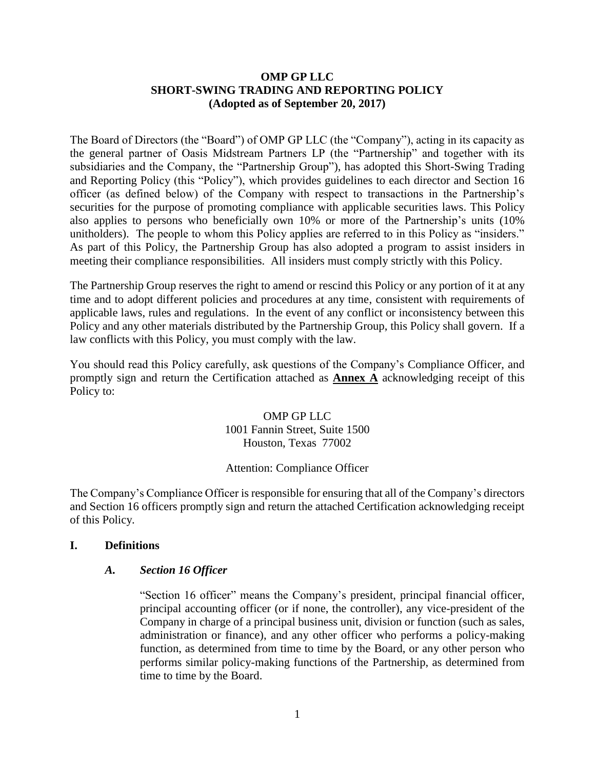# **OMP GP LLC SHORT-SWING TRADING AND REPORTING POLICY (Adopted as of September 20, 2017)**

The Board of Directors (the "Board") of OMP GP LLC (the "Company"), acting in its capacity as the general partner of Oasis Midstream Partners LP (the "Partnership" and together with its subsidiaries and the Company, the "Partnership Group"), has adopted this Short-Swing Trading and Reporting Policy (this "Policy"), which provides guidelines to each director and Section 16 officer (as defined below) of the Company with respect to transactions in the Partnership's securities for the purpose of promoting compliance with applicable securities laws. This Policy also applies to persons who beneficially own 10% or more of the Partnership's units (10% unitholders). The people to whom this Policy applies are referred to in this Policy as "insiders." As part of this Policy, the Partnership Group has also adopted a program to assist insiders in meeting their compliance responsibilities. All insiders must comply strictly with this Policy.

The Partnership Group reserves the right to amend or rescind this Policy or any portion of it at any time and to adopt different policies and procedures at any time, consistent with requirements of applicable laws, rules and regulations. In the event of any conflict or inconsistency between this Policy and any other materials distributed by the Partnership Group, this Policy shall govern. If a law conflicts with this Policy, you must comply with the law.

You should read this Policy carefully, ask questions of the Company's Compliance Officer, and promptly sign and return the Certification attached as **Annex A** acknowledging receipt of this Policy to:

## OMP GP LLC 1001 Fannin Street, Suite 1500 Houston, Texas 77002

# Attention: Compliance Officer

The Company's Compliance Officer is responsible for ensuring that all of the Company's directors and Section 16 officers promptly sign and return the attached Certification acknowledging receipt of this Policy.

# **I. Definitions**

# *A. Section 16 Officer*

"Section 16 officer" means the Company's president, principal financial officer, principal accounting officer (or if none, the controller), any vice-president of the Company in charge of a principal business unit, division or function (such as sales, administration or finance), and any other officer who performs a policy-making function, as determined from time to time by the Board, or any other person who performs similar policy-making functions of the Partnership, as determined from time to time by the Board.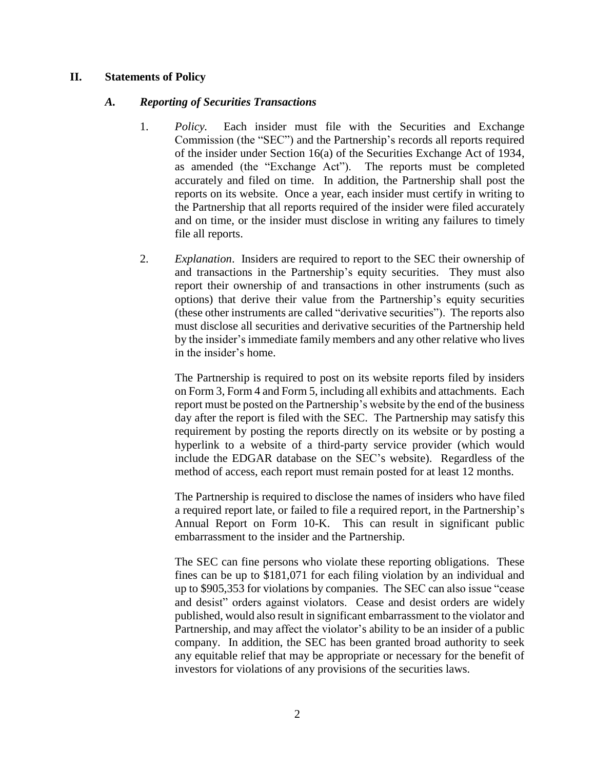#### **II. Statements of Policy**

#### *A. Reporting of Securities Transactions*

- 1. *Policy.* Each insider must file with the Securities and Exchange Commission (the "SEC") and the Partnership's records all reports required of the insider under Section 16(a) of the Securities Exchange Act of 1934, as amended (the "Exchange Act"). The reports must be completed accurately and filed on time. In addition, the Partnership shall post the reports on its website. Once a year, each insider must certify in writing to the Partnership that all reports required of the insider were filed accurately and on time, or the insider must disclose in writing any failures to timely file all reports.
- 2. *Explanation*. Insiders are required to report to the SEC their ownership of and transactions in the Partnership's equity securities. They must also report their ownership of and transactions in other instruments (such as options) that derive their value from the Partnership's equity securities (these other instruments are called "derivative securities"). The reports also must disclose all securities and derivative securities of the Partnership held by the insider's immediate family members and any other relative who lives in the insider's home.

The Partnership is required to post on its website reports filed by insiders on Form 3, Form 4 and Form 5, including all exhibits and attachments. Each report must be posted on the Partnership's website by the end of the business day after the report is filed with the SEC. The Partnership may satisfy this requirement by posting the reports directly on its website or by posting a hyperlink to a website of a third-party service provider (which would include the EDGAR database on the SEC's website). Regardless of the method of access, each report must remain posted for at least 12 months.

The Partnership is required to disclose the names of insiders who have filed a required report late, or failed to file a required report, in the Partnership's Annual Report on Form 10-K. This can result in significant public embarrassment to the insider and the Partnership.

The SEC can fine persons who violate these reporting obligations. These fines can be up to \$181,071 for each filing violation by an individual and up to \$905,353 for violations by companies. The SEC can also issue "cease and desist" orders against violators. Cease and desist orders are widely published, would also result in significant embarrassment to the violator and Partnership, and may affect the violator's ability to be an insider of a public company. In addition, the SEC has been granted broad authority to seek any equitable relief that may be appropriate or necessary for the benefit of investors for violations of any provisions of the securities laws.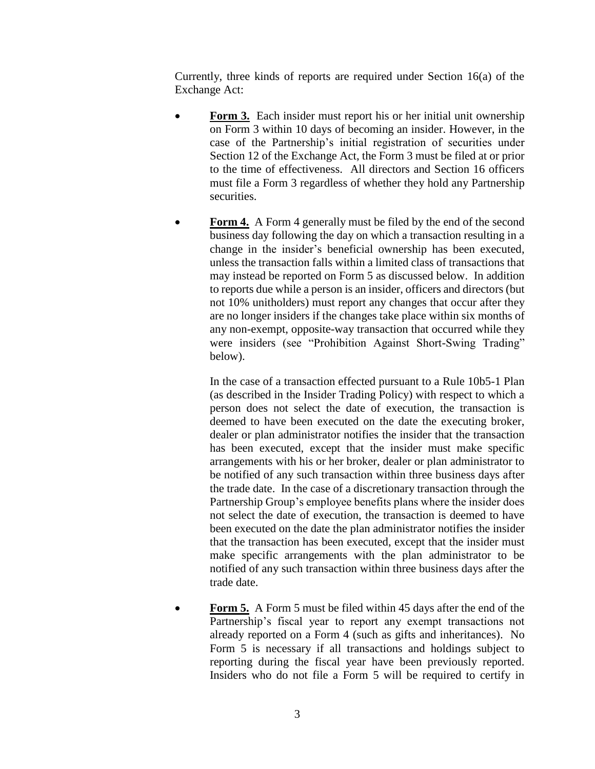Currently, three kinds of reports are required under Section 16(a) of the Exchange Act:

- **Form 3.** Each insider must report his or her initial unit ownership on Form 3 within 10 days of becoming an insider. However, in the case of the Partnership's initial registration of securities under Section 12 of the Exchange Act, the Form 3 must be filed at or prior to the time of effectiveness. All directors and Section 16 officers must file a Form 3 regardless of whether they hold any Partnership securities.
- **Form 4.** A Form 4 generally must be filed by the end of the second business day following the day on which a transaction resulting in a change in the insider's beneficial ownership has been executed, unless the transaction falls within a limited class of transactions that may instead be reported on Form 5 as discussed below. In addition to reports due while a person is an insider, officers and directors (but not 10% unitholders) must report any changes that occur after they are no longer insiders if the changes take place within six months of any non-exempt, opposite-way transaction that occurred while they were insiders (see "Prohibition Against Short-Swing Trading" below).

In the case of a transaction effected pursuant to a Rule 10b5-1 Plan (as described in the Insider Trading Policy) with respect to which a person does not select the date of execution, the transaction is deemed to have been executed on the date the executing broker, dealer or plan administrator notifies the insider that the transaction has been executed, except that the insider must make specific arrangements with his or her broker, dealer or plan administrator to be notified of any such transaction within three business days after the trade date. In the case of a discretionary transaction through the Partnership Group's employee benefits plans where the insider does not select the date of execution, the transaction is deemed to have been executed on the date the plan administrator notifies the insider that the transaction has been executed, except that the insider must make specific arrangements with the plan administrator to be notified of any such transaction within three business days after the trade date.

 **Form 5.** A Form 5 must be filed within 45 days after the end of the Partnership's fiscal year to report any exempt transactions not already reported on a Form 4 (such as gifts and inheritances). No Form 5 is necessary if all transactions and holdings subject to reporting during the fiscal year have been previously reported. Insiders who do not file a Form 5 will be required to certify in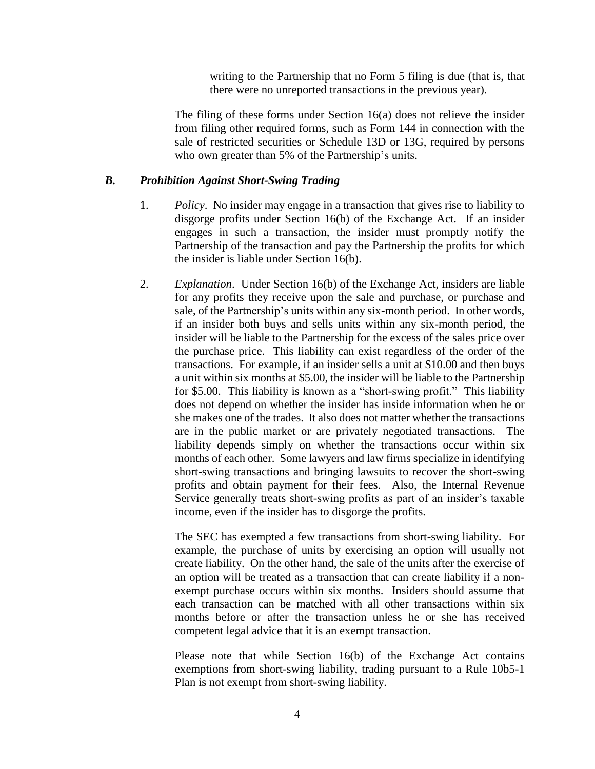writing to the Partnership that no Form 5 filing is due (that is, that there were no unreported transactions in the previous year).

The filing of these forms under Section 16(a) does not relieve the insider from filing other required forms, such as Form 144 in connection with the sale of restricted securities or Schedule 13D or 13G, required by persons who own greater than 5% of the Partnership's units.

#### *B. Prohibition Against Short-Swing Trading*

- 1. *Policy*. No insider may engage in a transaction that gives rise to liability to disgorge profits under Section 16(b) of the Exchange Act. If an insider engages in such a transaction, the insider must promptly notify the Partnership of the transaction and pay the Partnership the profits for which the insider is liable under Section 16(b).
- 2. *Explanation*. Under Section 16(b) of the Exchange Act, insiders are liable for any profits they receive upon the sale and purchase, or purchase and sale, of the Partnership's units within any six-month period. In other words, if an insider both buys and sells units within any six-month period, the insider will be liable to the Partnership for the excess of the sales price over the purchase price. This liability can exist regardless of the order of the transactions. For example, if an insider sells a unit at \$10.00 and then buys a unit within six months at \$5.00, the insider will be liable to the Partnership for \$5.00. This liability is known as a "short-swing profit." This liability does not depend on whether the insider has inside information when he or she makes one of the trades. It also does not matter whether the transactions are in the public market or are privately negotiated transactions. The liability depends simply on whether the transactions occur within six months of each other. Some lawyers and law firms specialize in identifying short-swing transactions and bringing lawsuits to recover the short-swing profits and obtain payment for their fees. Also, the Internal Revenue Service generally treats short-swing profits as part of an insider's taxable income, even if the insider has to disgorge the profits.

The SEC has exempted a few transactions from short-swing liability. For example, the purchase of units by exercising an option will usually not create liability. On the other hand, the sale of the units after the exercise of an option will be treated as a transaction that can create liability if a nonexempt purchase occurs within six months. Insiders should assume that each transaction can be matched with all other transactions within six months before or after the transaction unless he or she has received competent legal advice that it is an exempt transaction.

Please note that while Section 16(b) of the Exchange Act contains exemptions from short-swing liability, trading pursuant to a Rule 10b5-1 Plan is not exempt from short-swing liability.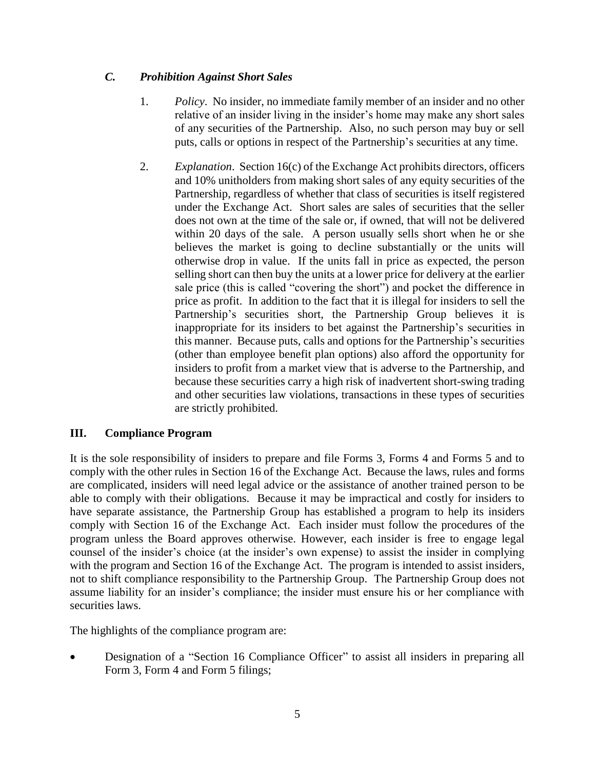# *C. Prohibition Against Short Sales*

- 1. *Policy*. No insider, no immediate family member of an insider and no other relative of an insider living in the insider's home may make any short sales of any securities of the Partnership. Also, no such person may buy or sell puts, calls or options in respect of the Partnership's securities at any time.
- 2. *Explanation*. Section 16(c) of the Exchange Act prohibits directors, officers and 10% unitholders from making short sales of any equity securities of the Partnership, regardless of whether that class of securities is itself registered under the Exchange Act. Short sales are sales of securities that the seller does not own at the time of the sale or, if owned, that will not be delivered within 20 days of the sale. A person usually sells short when he or she believes the market is going to decline substantially or the units will otherwise drop in value. If the units fall in price as expected, the person selling short can then buy the units at a lower price for delivery at the earlier sale price (this is called "covering the short") and pocket the difference in price as profit. In addition to the fact that it is illegal for insiders to sell the Partnership's securities short, the Partnership Group believes it is inappropriate for its insiders to bet against the Partnership's securities in this manner. Because puts, calls and options for the Partnership's securities (other than employee benefit plan options) also afford the opportunity for insiders to profit from a market view that is adverse to the Partnership, and because these securities carry a high risk of inadvertent short-swing trading and other securities law violations, transactions in these types of securities are strictly prohibited.

# **III. Compliance Program**

It is the sole responsibility of insiders to prepare and file Forms 3, Forms 4 and Forms 5 and to comply with the other rules in Section 16 of the Exchange Act. Because the laws, rules and forms are complicated, insiders will need legal advice or the assistance of another trained person to be able to comply with their obligations. Because it may be impractical and costly for insiders to have separate assistance, the Partnership Group has established a program to help its insiders comply with Section 16 of the Exchange Act. Each insider must follow the procedures of the program unless the Board approves otherwise. However, each insider is free to engage legal counsel of the insider's choice (at the insider's own expense) to assist the insider in complying with the program and Section 16 of the Exchange Act. The program is intended to assist insiders, not to shift compliance responsibility to the Partnership Group. The Partnership Group does not assume liability for an insider's compliance; the insider must ensure his or her compliance with securities laws.

The highlights of the compliance program are:

Designation of a "Section 16 Compliance Officer" to assist all insiders in preparing all Form 3, Form 4 and Form 5 filings;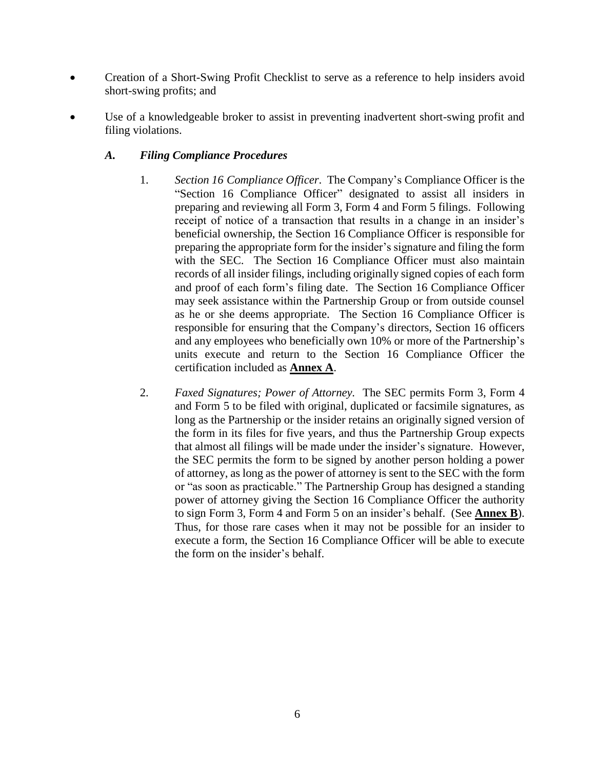- Creation of a Short-Swing Profit Checklist to serve as a reference to help insiders avoid short-swing profits; and
- Use of a knowledgeable broker to assist in preventing inadvertent short-swing profit and filing violations.

# *A. Filing Compliance Procedures*

- 1. *Section 16 Compliance Officer*. The Company's Compliance Officer is the "Section 16 Compliance Officer" designated to assist all insiders in preparing and reviewing all Form 3, Form 4 and Form 5 filings. Following receipt of notice of a transaction that results in a change in an insider's beneficial ownership, the Section 16 Compliance Officer is responsible for preparing the appropriate form for the insider's signature and filing the form with the SEC. The Section 16 Compliance Officer must also maintain records of all insider filings, including originally signed copies of each form and proof of each form's filing date. The Section 16 Compliance Officer may seek assistance within the Partnership Group or from outside counsel as he or she deems appropriate. The Section 16 Compliance Officer is responsible for ensuring that the Company's directors, Section 16 officers and any employees who beneficially own 10% or more of the Partnership's units execute and return to the Section 16 Compliance Officer the certification included as **Annex A**.
- 2. *Faxed Signatures; Power of Attorney.* The SEC permits Form 3, Form 4 and Form 5 to be filed with original, duplicated or facsimile signatures, as long as the Partnership or the insider retains an originally signed version of the form in its files for five years, and thus the Partnership Group expects that almost all filings will be made under the insider's signature. However, the SEC permits the form to be signed by another person holding a power of attorney, as long as the power of attorney is sent to the SEC with the form or "as soon as practicable." The Partnership Group has designed a standing power of attorney giving the Section 16 Compliance Officer the authority to sign Form 3, Form 4 and Form 5 on an insider's behalf. (See **Annex B**). Thus, for those rare cases when it may not be possible for an insider to execute a form, the Section 16 Compliance Officer will be able to execute the form on the insider's behalf.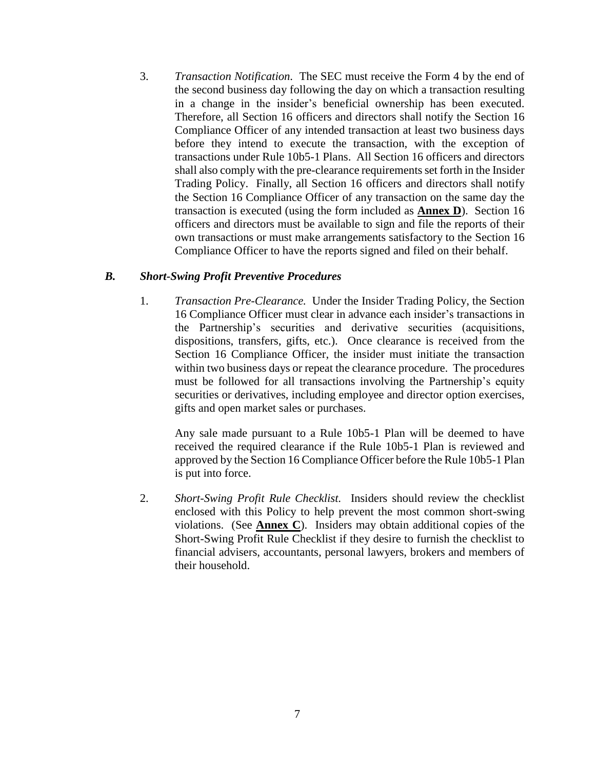3. *Transaction Notification.* The SEC must receive the Form 4 by the end of the second business day following the day on which a transaction resulting in a change in the insider's beneficial ownership has been executed. Therefore, all Section 16 officers and directors shall notify the Section 16 Compliance Officer of any intended transaction at least two business days before they intend to execute the transaction, with the exception of transactions under Rule 10b5-1 Plans. All Section 16 officers and directors shall also comply with the pre-clearance requirements set forth in the Insider Trading Policy. Finally, all Section 16 officers and directors shall notify the Section 16 Compliance Officer of any transaction on the same day the transaction is executed (using the form included as **Annex D**). Section 16 officers and directors must be available to sign and file the reports of their own transactions or must make arrangements satisfactory to the Section 16 Compliance Officer to have the reports signed and filed on their behalf.

#### *B. Short-Swing Profit Preventive Procedures*

1. *Transaction Pre-Clearance.* Under the Insider Trading Policy, the Section 16 Compliance Officer must clear in advance each insider's transactions in the Partnership's securities and derivative securities (acquisitions, dispositions, transfers, gifts, etc.). Once clearance is received from the Section 16 Compliance Officer, the insider must initiate the transaction within two business days or repeat the clearance procedure. The procedures must be followed for all transactions involving the Partnership's equity securities or derivatives, including employee and director option exercises, gifts and open market sales or purchases.

Any sale made pursuant to a Rule 10b5-1 Plan will be deemed to have received the required clearance if the Rule 10b5-1 Plan is reviewed and approved by the Section 16 Compliance Officer before the Rule 10b5-1 Plan is put into force.

2. *Short-Swing Profit Rule Checklist.* Insiders should review the checklist enclosed with this Policy to help prevent the most common short-swing violations. (See **Annex C**). Insiders may obtain additional copies of the Short-Swing Profit Rule Checklist if they desire to furnish the checklist to financial advisers, accountants, personal lawyers, brokers and members of their household.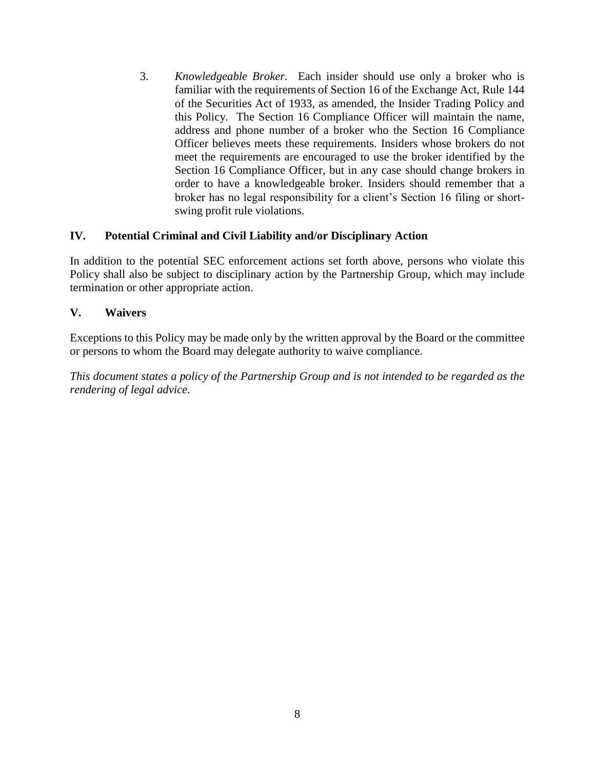3. *Knowledgeable Broker.* Each insider should use only a broker who is familiar with the requirements of Section 16 of the Exchange Act, Rule 144 of the Securities Act of 1933, as amended, the Insider Trading Policy and this Policy. The Section 16 Compliance Officer will maintain the name, address and phone number of a broker who the Section 16 Compliance Officer believes meets these requirements. Insiders whose brokers do not meet the requirements are encouraged to use the broker identified by the Section 16 Compliance Officer, but in any case should change brokers in order to have a knowledgeable broker. Insiders should remember that a broker has no legal responsibility for a client's Section 16 filing or shortswing profit rule violations.

## **IV. Potential Criminal and Civil Liability and/or Disciplinary Action**

In addition to the potential SEC enforcement actions set forth above, persons who violate this Policy shall also be subject to disciplinary action by the Partnership Group, which may include termination or other appropriate action.

## **V. Waivers**

Exceptions to this Policy may be made only by the written approval by the Board or the committee or persons to whom the Board may delegate authority to waive compliance.

*This document states a policy of the Partnership Group and is not intended to be regarded as the rendering of legal advice.*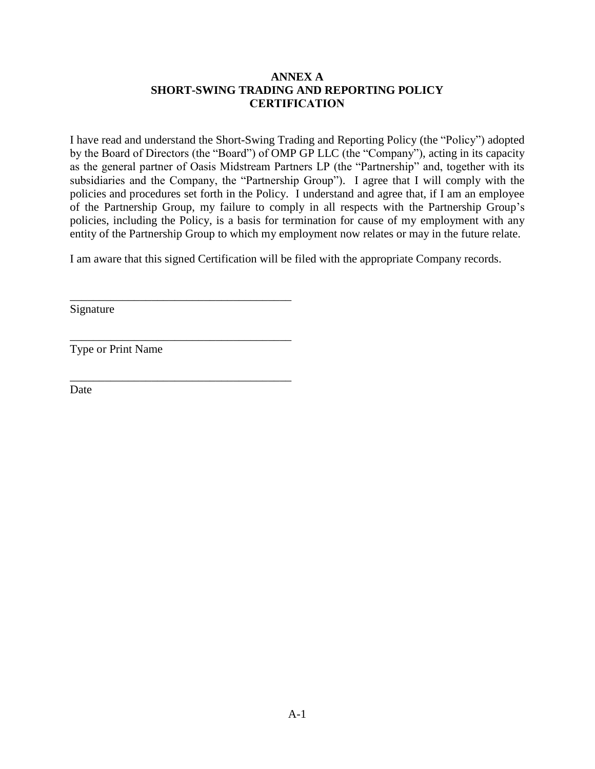# **ANNEX A SHORT-SWING TRADING AND REPORTING POLICY CERTIFICATION**

I have read and understand the Short-Swing Trading and Reporting Policy (the "Policy") adopted by the Board of Directors (the "Board") of OMP GP LLC (the "Company"), acting in its capacity as the general partner of Oasis Midstream Partners LP (the "Partnership" and, together with its subsidiaries and the Company, the "Partnership Group"). I agree that I will comply with the policies and procedures set forth in the Policy. I understand and agree that, if I am an employee of the Partnership Group, my failure to comply in all respects with the Partnership Group's policies, including the Policy, is a basis for termination for cause of my employment with any entity of the Partnership Group to which my employment now relates or may in the future relate.

I am aware that this signed Certification will be filed with the appropriate Company records.

Signature

Type or Print Name

\_\_\_\_\_\_\_\_\_\_\_\_\_\_\_\_\_\_\_\_\_\_\_\_\_\_\_\_\_\_\_\_\_\_\_\_\_\_

\_\_\_\_\_\_\_\_\_\_\_\_\_\_\_\_\_\_\_\_\_\_\_\_\_\_\_\_\_\_\_\_\_\_\_\_\_\_

\_\_\_\_\_\_\_\_\_\_\_\_\_\_\_\_\_\_\_\_\_\_\_\_\_\_\_\_\_\_\_\_\_\_\_\_\_\_

Date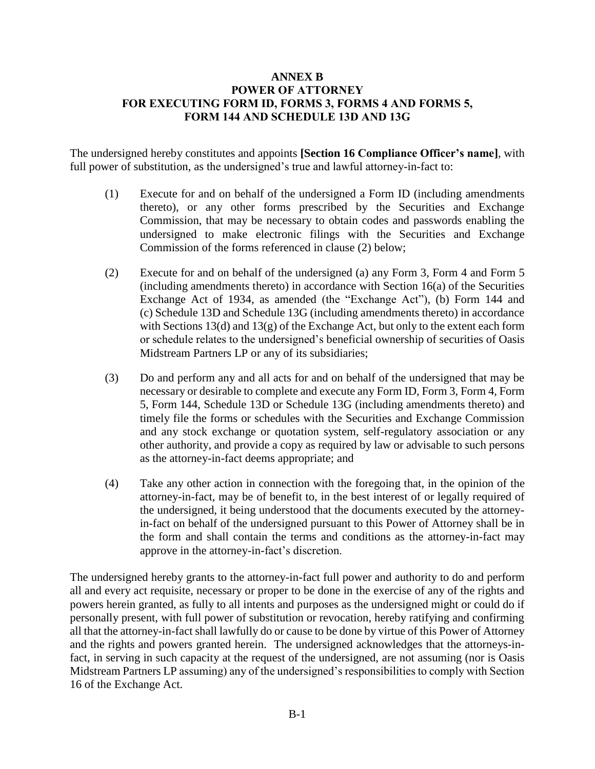### **ANNEX B POWER OF ATTORNEY FOR EXECUTING FORM ID, FORMS 3, FORMS 4 AND FORMS 5, FORM 144 AND SCHEDULE 13D AND 13G**

The undersigned hereby constitutes and appoints **[Section 16 Compliance Officer's name]**, with full power of substitution, as the undersigned's true and lawful attorney-in-fact to:

- (1) Execute for and on behalf of the undersigned a Form ID (including amendments thereto), or any other forms prescribed by the Securities and Exchange Commission, that may be necessary to obtain codes and passwords enabling the undersigned to make electronic filings with the Securities and Exchange Commission of the forms referenced in clause (2) below;
- (2) Execute for and on behalf of the undersigned (a) any Form 3, Form 4 and Form 5 (including amendments thereto) in accordance with Section 16(a) of the Securities Exchange Act of 1934, as amended (the "Exchange Act"), (b) Form 144 and (c) Schedule 13D and Schedule 13G (including amendments thereto) in accordance with Sections 13(d) and 13(g) of the Exchange Act, but only to the extent each form or schedule relates to the undersigned's beneficial ownership of securities of Oasis Midstream Partners LP or any of its subsidiaries;
- (3) Do and perform any and all acts for and on behalf of the undersigned that may be necessary or desirable to complete and execute any Form ID, Form 3, Form 4, Form 5, Form 144, Schedule 13D or Schedule 13G (including amendments thereto) and timely file the forms or schedules with the Securities and Exchange Commission and any stock exchange or quotation system, self-regulatory association or any other authority, and provide a copy as required by law or advisable to such persons as the attorney-in-fact deems appropriate; and
- (4) Take any other action in connection with the foregoing that, in the opinion of the attorney-in-fact, may be of benefit to, in the best interest of or legally required of the undersigned, it being understood that the documents executed by the attorneyin-fact on behalf of the undersigned pursuant to this Power of Attorney shall be in the form and shall contain the terms and conditions as the attorney-in-fact may approve in the attorney-in-fact's discretion.

The undersigned hereby grants to the attorney-in-fact full power and authority to do and perform all and every act requisite, necessary or proper to be done in the exercise of any of the rights and powers herein granted, as fully to all intents and purposes as the undersigned might or could do if personally present, with full power of substitution or revocation, hereby ratifying and confirming all that the attorney-in-fact shall lawfully do or cause to be done by virtue of this Power of Attorney and the rights and powers granted herein. The undersigned acknowledges that the attorneys-infact, in serving in such capacity at the request of the undersigned, are not assuming (nor is Oasis Midstream Partners LP assuming) any of the undersigned's responsibilities to comply with Section 16 of the Exchange Act.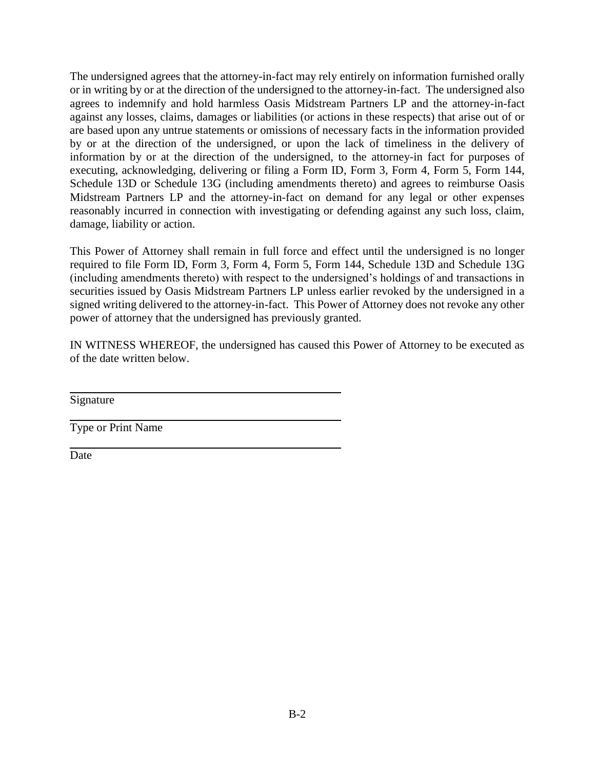The undersigned agrees that the attorney-in-fact may rely entirely on information furnished orally or in writing by or at the direction of the undersigned to the attorney-in-fact. The undersigned also agrees to indemnify and hold harmless Oasis Midstream Partners LP and the attorney-in-fact against any losses, claims, damages or liabilities (or actions in these respects) that arise out of or are based upon any untrue statements or omissions of necessary facts in the information provided by or at the direction of the undersigned, or upon the lack of timeliness in the delivery of information by or at the direction of the undersigned, to the attorney-in fact for purposes of executing, acknowledging, delivering or filing a Form ID, Form 3, Form 4, Form 5, Form 144, Schedule 13D or Schedule 13G (including amendments thereto) and agrees to reimburse Oasis Midstream Partners LP and the attorney-in-fact on demand for any legal or other expenses reasonably incurred in connection with investigating or defending against any such loss, claim, damage, liability or action.

This Power of Attorney shall remain in full force and effect until the undersigned is no longer required to file Form ID, Form 3, Form 4, Form 5, Form 144, Schedule 13D and Schedule 13G (including amendments thereto) with respect to the undersigned's holdings of and transactions in securities issued by Oasis Midstream Partners LP unless earlier revoked by the undersigned in a signed writing delivered to the attorney-in-fact. This Power of Attorney does not revoke any other power of attorney that the undersigned has previously granted.

IN WITNESS WHEREOF, the undersigned has caused this Power of Attorney to be executed as of the date written below.

Signature

Type or Print Name

Date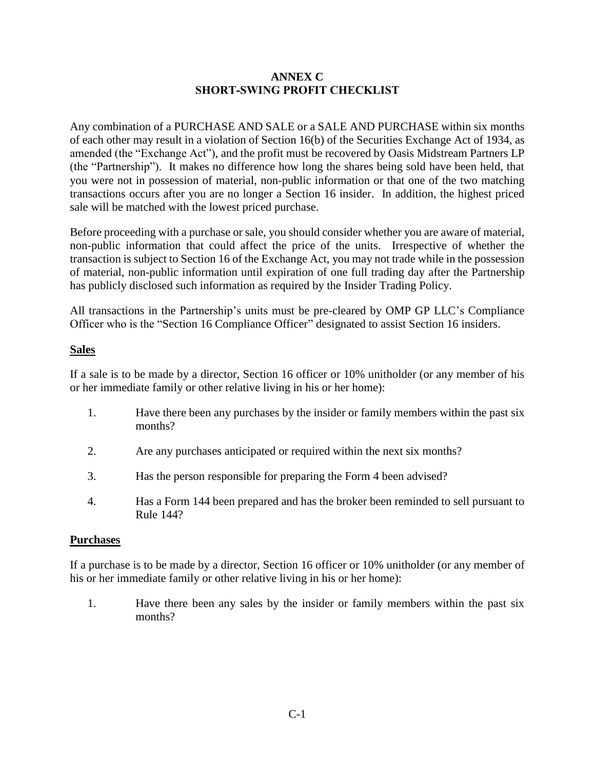## **ANNEX C SHORT-SWING PROFIT CHECKLIST**

Any combination of a PURCHASE AND SALE or a SALE AND PURCHASE within six months of each other may result in a violation of Section 16(b) of the Securities Exchange Act of 1934, as amended (the "Exchange Act"), and the profit must be recovered by Oasis Midstream Partners LP (the "Partnership"). It makes no difference how long the shares being sold have been held, that you were not in possession of material, non-public information or that one of the two matching transactions occurs after you are no longer a Section 16 insider. In addition, the highest priced sale will be matched with the lowest priced purchase.

Before proceeding with a purchase or sale, you should consider whether you are aware of material, non-public information that could affect the price of the units. Irrespective of whether the transaction is subject to Section 16 of the Exchange Act, you may not trade while in the possession of material, non-public information until expiration of one full trading day after the Partnership has publicly disclosed such information as required by the Insider Trading Policy.

All transactions in the Partnership's units must be pre-cleared by OMP GP LLC's Compliance Officer who is the "Section 16 Compliance Officer" designated to assist Section 16 insiders.

## **Sales**

If a sale is to be made by a director, Section 16 officer or 10% unitholder (or any member of his or her immediate family or other relative living in his or her home):

- 1. Have there been any purchases by the insider or family members within the past six months?
- 2. Are any purchases anticipated or required within the next six months?
- 3. Has the person responsible for preparing the Form 4 been advised?
- 4. Has a Form 144 been prepared and has the broker been reminded to sell pursuant to Rule 144?

#### **Purchases**

If a purchase is to be made by a director, Section 16 officer or 10% unitholder (or any member of his or her immediate family or other relative living in his or her home):

1. Have there been any sales by the insider or family members within the past six months?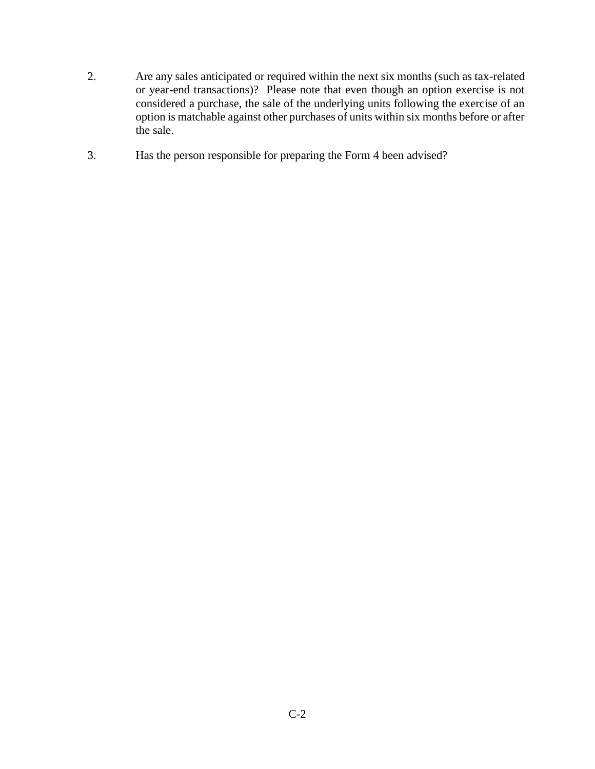- 2. Are any sales anticipated or required within the next six months (such as tax-related or year-end transactions)? Please note that even though an option exercise is not considered a purchase, the sale of the underlying units following the exercise of an option is matchable against other purchases of units within six months before or after the sale.
- 3. Has the person responsible for preparing the Form 4 been advised?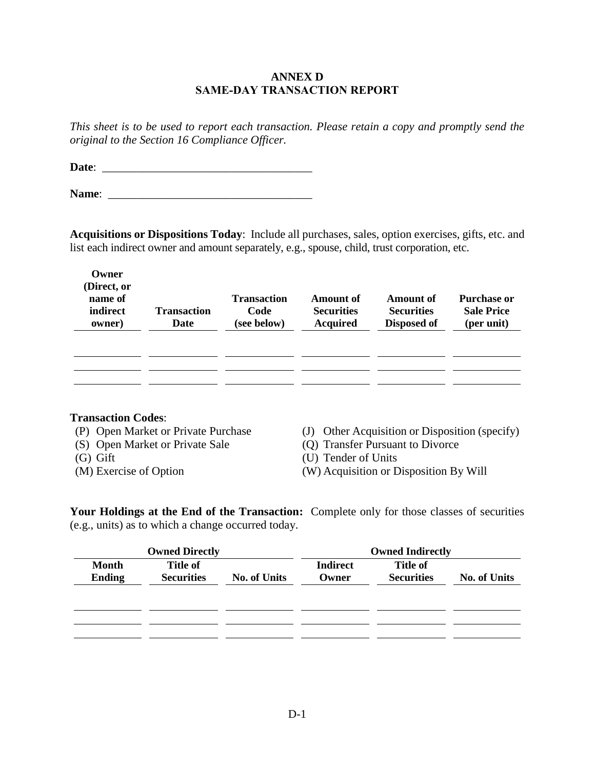#### **ANNEX D SAME-DAY TRANSACTION REPORT**

*This sheet is to be used to report each transaction. Please retain a copy and promptly send the original to the Section 16 Compliance Officer.*

**Date**: \_\_\_\_\_\_\_\_\_\_\_\_\_\_\_\_\_\_\_\_\_\_\_\_\_\_\_\_\_\_\_\_\_\_\_\_

**Name**: \_\_\_\_\_\_\_\_\_\_\_\_\_\_\_\_\_\_\_\_\_\_\_\_\_\_\_\_\_\_\_\_\_\_\_

**Acquisitions or Dispositions Today**: Include all purchases, sales, option exercises, gifts, etc. and list each indirect owner and amount separately, e.g., spouse, child, trust corporation, etc.

| Owner<br>(Direct, or<br>name of<br>indirect<br>owner) | <b>Transaction</b><br>Date | <b>Transaction</b><br>Code<br>(see below) | Amount of<br><b>Securities</b><br><b>Acquired</b> | Amount of<br><b>Securities</b><br>Disposed of | <b>Purchase or</b><br><b>Sale Price</b><br>(per unit) |
|-------------------------------------------------------|----------------------------|-------------------------------------------|---------------------------------------------------|-----------------------------------------------|-------------------------------------------------------|
|                                                       |                            |                                           |                                                   |                                               |                                                       |

#### **Transaction Codes**:

- 
- 
- 
- 
- (P) Open Market or Private Purchase (J) Other Acquisition or Disposition (specify)
- (S) Open Market or Private Sale (Q) Transfer Pursuant to Divorce
- (G) Gift (U) Tender of Units
- (M) Exercise of Option (W) Acquisition or Disposition By Will

**Your Holdings at the End of the Transaction:** Complete only for those classes of securities (e.g., units) as to which a change occurred today.

| <b>Owned Directly</b>         |                                      |                     | <b>Owned Indirectly</b>  |                                      |                     |
|-------------------------------|--------------------------------------|---------------------|--------------------------|--------------------------------------|---------------------|
| <b>Month</b><br><b>Ending</b> | <b>Title of</b><br><b>Securities</b> | <b>No. of Units</b> | <b>Indirect</b><br>Owner | <b>Title of</b><br><b>Securities</b> | <b>No. of Units</b> |
|                               |                                      |                     |                          |                                      |                     |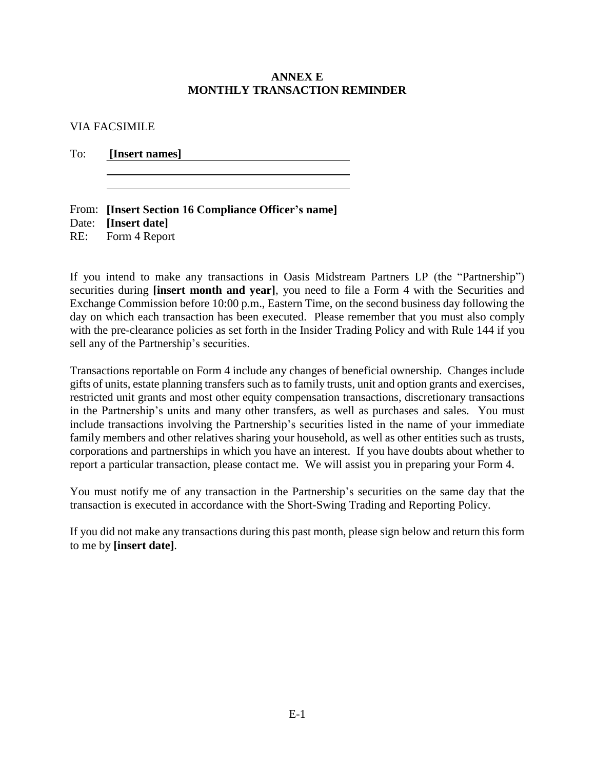#### **ANNEX E MONTHLY TRANSACTION REMINDER**

VIA FACSIMILE

To: **[Insert names]**

| From: [Insert Section 16 Compliance Officer's name] |
|-----------------------------------------------------|
| Date: [Insert date]                                 |
| RE: Form 4 Report                                   |

If you intend to make any transactions in Oasis Midstream Partners LP (the "Partnership") securities during **[insert month and year]**, you need to file a Form 4 with the Securities and Exchange Commission before 10:00 p.m., Eastern Time, on the second business day following the day on which each transaction has been executed. Please remember that you must also comply with the pre-clearance policies as set forth in the Insider Trading Policy and with Rule 144 if you sell any of the Partnership's securities.

Transactions reportable on Form 4 include any changes of beneficial ownership. Changes include gifts of units, estate planning transfers such as to family trusts, unit and option grants and exercises, restricted unit grants and most other equity compensation transactions, discretionary transactions in the Partnership's units and many other transfers, as well as purchases and sales. You must include transactions involving the Partnership's securities listed in the name of your immediate family members and other relatives sharing your household, as well as other entities such as trusts, corporations and partnerships in which you have an interest. If you have doubts about whether to report a particular transaction, please contact me. We will assist you in preparing your Form 4.

You must notify me of any transaction in the Partnership's securities on the same day that the transaction is executed in accordance with the Short-Swing Trading and Reporting Policy.

If you did not make any transactions during this past month, please sign below and return this form to me by **[insert date]**.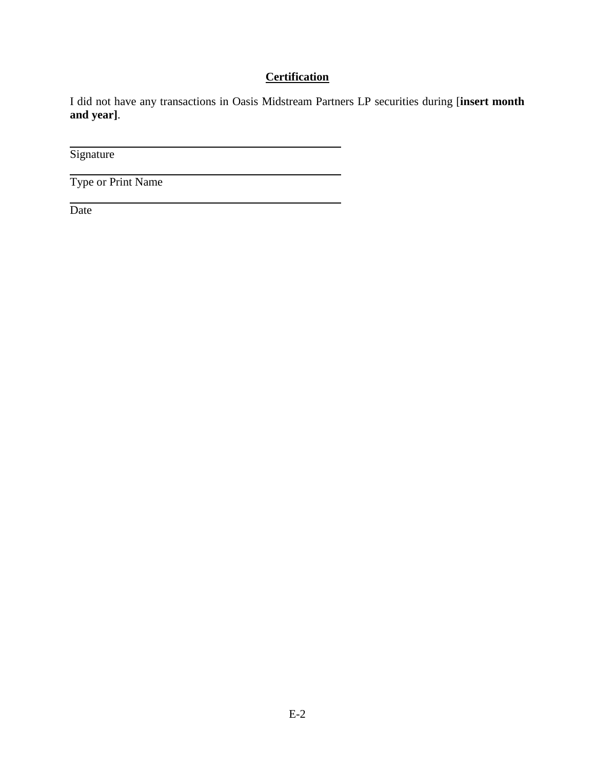# **Certification**

I did not have any transactions in Oasis Midstream Partners LP securities during [**insert month and year]**.

Signature

Type or Print Name

Date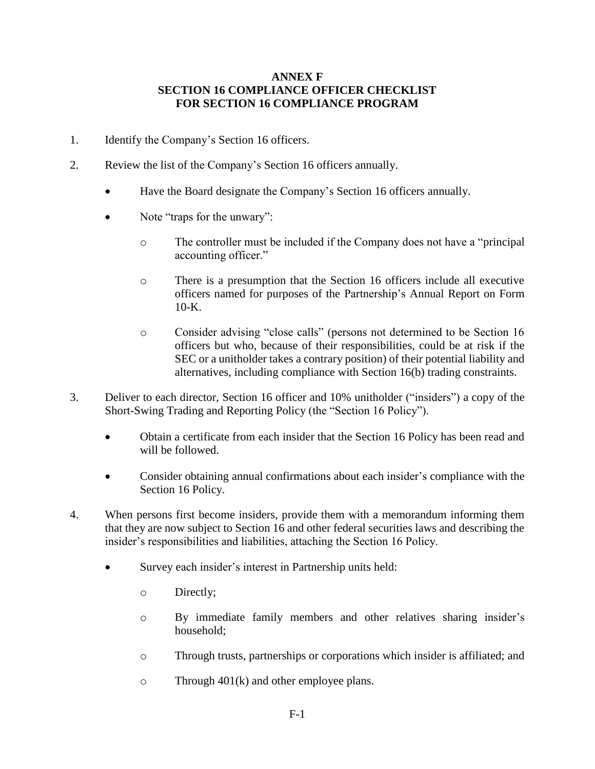## **ANNEX F SECTION 16 COMPLIANCE OFFICER CHECKLIST FOR SECTION 16 COMPLIANCE PROGRAM**

- 1. Identify the Company's Section 16 officers.
- 2. Review the list of the Company's Section 16 officers annually.
	- Have the Board designate the Company's Section 16 officers annually.
	- Note "traps for the unwary":
		- o The controller must be included if the Company does not have a "principal accounting officer."
		- o There is a presumption that the Section 16 officers include all executive officers named for purposes of the Partnership's Annual Report on Form  $10-K$ .
		- o Consider advising "close calls" (persons not determined to be Section 16 officers but who, because of their responsibilities, could be at risk if the SEC or a unitholder takes a contrary position) of their potential liability and alternatives, including compliance with Section 16(b) trading constraints.
- 3. Deliver to each director, Section 16 officer and 10% unitholder ("insiders") a copy of the Short-Swing Trading and Reporting Policy (the "Section 16 Policy").
	- Obtain a certificate from each insider that the Section 16 Policy has been read and will be followed.
	- Consider obtaining annual confirmations about each insider's compliance with the Section 16 Policy.
- 4. When persons first become insiders, provide them with a memorandum informing them that they are now subject to Section 16 and other federal securities laws and describing the insider's responsibilities and liabilities, attaching the Section 16 Policy.
	- Survey each insider's interest in Partnership units held:
		- o Directly;
		- o By immediate family members and other relatives sharing insider's household;
		- o Through trusts, partnerships or corporations which insider is affiliated; and
		- o Through 401(k) and other employee plans.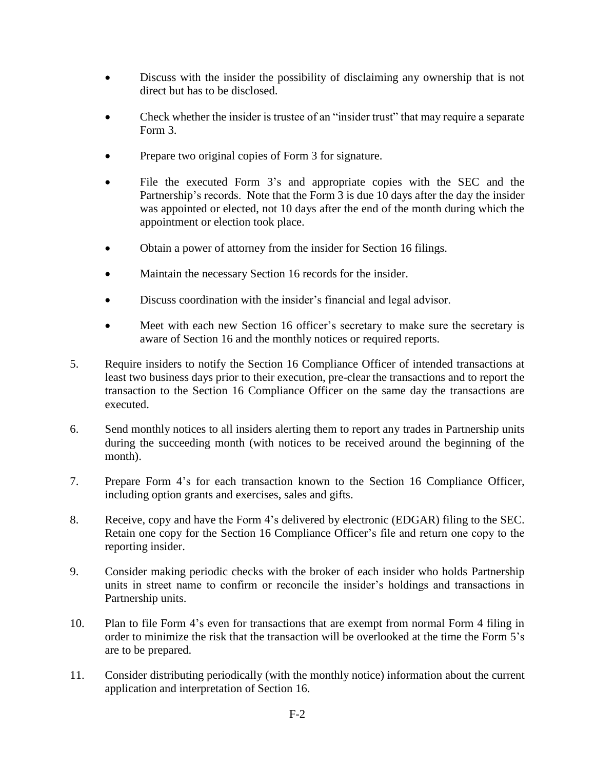- Discuss with the insider the possibility of disclaiming any ownership that is not direct but has to be disclosed.
- Check whether the insider is trustee of an "insider trust" that may require a separate Form 3.
- Prepare two original copies of Form 3 for signature.
- File the executed Form 3's and appropriate copies with the SEC and the Partnership's records. Note that the Form 3 is due 10 days after the day the insider was appointed or elected, not 10 days after the end of the month during which the appointment or election took place.
- Obtain a power of attorney from the insider for Section 16 filings.
- Maintain the necessary Section 16 records for the insider.
- Discuss coordination with the insider's financial and legal advisor.
- Meet with each new Section 16 officer's secretary to make sure the secretary is aware of Section 16 and the monthly notices or required reports.
- 5. Require insiders to notify the Section 16 Compliance Officer of intended transactions at least two business days prior to their execution, pre-clear the transactions and to report the transaction to the Section 16 Compliance Officer on the same day the transactions are executed.
- 6. Send monthly notices to all insiders alerting them to report any trades in Partnership units during the succeeding month (with notices to be received around the beginning of the month).
- 7. Prepare Form 4's for each transaction known to the Section 16 Compliance Officer, including option grants and exercises, sales and gifts.
- 8. Receive, copy and have the Form 4's delivered by electronic (EDGAR) filing to the SEC. Retain one copy for the Section 16 Compliance Officer's file and return one copy to the reporting insider.
- 9. Consider making periodic checks with the broker of each insider who holds Partnership units in street name to confirm or reconcile the insider's holdings and transactions in Partnership units.
- 10. Plan to file Form 4's even for transactions that are exempt from normal Form 4 filing in order to minimize the risk that the transaction will be overlooked at the time the Form 5's are to be prepared.
- 11. Consider distributing periodically (with the monthly notice) information about the current application and interpretation of Section 16.